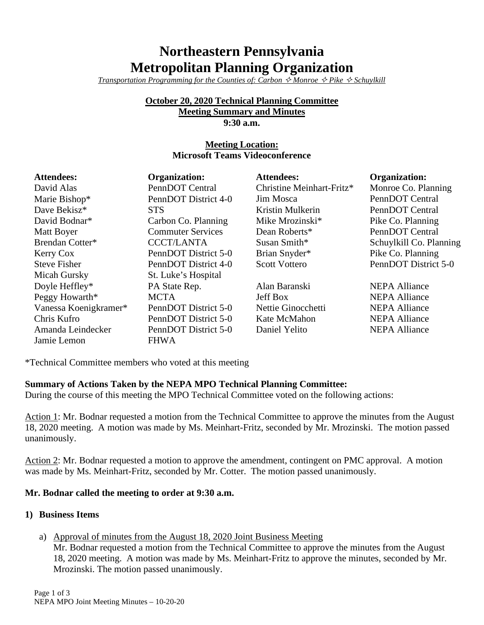# **Northeastern Pennsylvania Metropolitan Planning Organization**

*Transportation Programming for the Counties of: Carbon*  $\Diamond$  *Monroe*  $\Diamond$  *Pike*  $\Diamond$  *Schuylkill* 

#### **October 20, 2020 Technical Planning Committee Meeting Summary and Minutes**

**9:30 a.m.**

# **Meeting Location: Microsoft Teams Videoconference**

| <b>Attendees:</b>     | <b>Organization:</b>     | <b>Attendees:</b>         | <b>Organization:</b>    |
|-----------------------|--------------------------|---------------------------|-------------------------|
| David Alas            | PennDOT Central          | Christine Meinhart-Fritz* | Monroe Co. Planning     |
| Marie Bishop*         | PennDOT District 4-0     | Jim Mosca                 | PennDOT Central         |
| Dave Bekisz*          | <b>STS</b>               | Kristin Mulkerin          | PennDOT Central         |
| David Bodnar*         | Carbon Co. Planning      | Mike Mrozinski*           | Pike Co. Planning       |
| Matt Boyer            | <b>Commuter Services</b> | Dean Roberts*             | PennDOT Central         |
| Brendan Cotter*       | <b>CCCT/LANTA</b>        | Susan Smith*              | Schuylkill Co. Planning |
| Kerry Cox             | PennDOT District 5-0     | Brian Snyder*             | Pike Co. Planning       |
| <b>Steve Fisher</b>   | PennDOT District 4-0     | <b>Scott Vottero</b>      | PennDOT District 5-0    |
| Micah Gursky          | St. Luke's Hospital      |                           |                         |
| Doyle Heffley*        | PA State Rep.            | Alan Baranski             | <b>NEPA Alliance</b>    |
| Peggy Howarth*        | <b>MCTA</b>              | <b>Jeff Box</b>           | <b>NEPA Alliance</b>    |
| Vanessa Koenigkramer* | PennDOT District 5-0     | Nettie Ginocchetti        | <b>NEPA Alliance</b>    |
| Chris Kufro           | PennDOT District 5-0     | Kate McMahon              | <b>NEPA Alliance</b>    |
| Amanda Leindecker     | PennDOT District 5-0     | Daniel Yelito             | <b>NEPA Alliance</b>    |
| Jamie Lemon           | <b>FHWA</b>              |                           |                         |

\*Technical Committee members who voted at this meeting

### **Summary of Actions Taken by the NEPA MPO Technical Planning Committee:**

During the course of this meeting the MPO Technical Committee voted on the following actions:

Action 1: Mr. Bodnar requested a motion from the Technical Committee to approve the minutes from the August 18, 2020 meeting. A motion was made by Ms. Meinhart-Fritz, seconded by Mr. Mrozinski. The motion passed unanimously.

Action 2: Mr. Bodnar requested a motion to approve the amendment, contingent on PMC approval. A motion was made by Ms. Meinhart-Fritz, seconded by Mr. Cotter. The motion passed unanimously.

### **Mr. Bodnar called the meeting to order at 9:30 a.m.**

### **1) Business Items**

a) Approval of minutes from the August 18, 2020 Joint Business Meeting

Mr. Bodnar requested a motion from the Technical Committee to approve the minutes from the August 18, 2020 meeting. A motion was made by Ms. Meinhart-Fritz to approve the minutes, seconded by Mr. Mrozinski. The motion passed unanimously.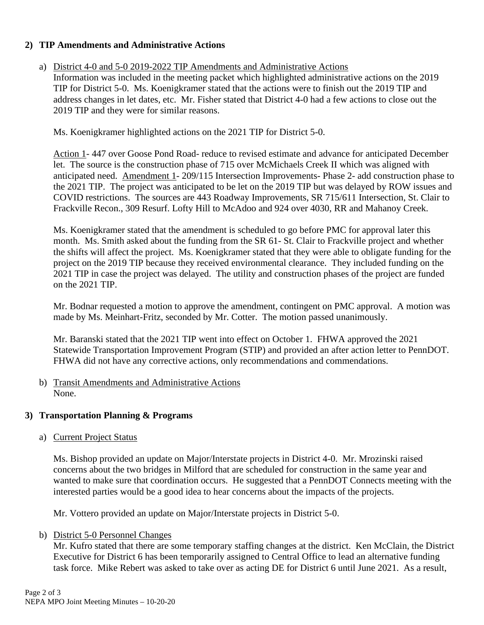### **2) TIP Amendments and Administrative Actions**

### a) District 4-0 and 5-0 2019-2022 TIP Amendments and Administrative Actions

Information was included in the meeting packet which highlighted administrative actions on the 2019 TIP for District 5-0. Ms. Koenigkramer stated that the actions were to finish out the 2019 TIP and address changes in let dates, etc. Mr. Fisher stated that District 4-0 had a few actions to close out the 2019 TIP and they were for similar reasons.

Ms. Koenigkramer highlighted actions on the 2021 TIP for District 5-0.

Action 1- 447 over Goose Pond Road- reduce to revised estimate and advance for anticipated December let. The source is the construction phase of 715 over McMichaels Creek II which was aligned with anticipated need. Amendment 1- 209/115 Intersection Improvements- Phase 2- add construction phase to the 2021 TIP. The project was anticipated to be let on the 2019 TIP but was delayed by ROW issues and COVID restrictions. The sources are 443 Roadway Improvements, SR 715/611 Intersection, St. Clair to Frackville Recon., 309 Resurf. Lofty Hill to McAdoo and 924 over 4030, RR and Mahanoy Creek.

Ms. Koenigkramer stated that the amendment is scheduled to go before PMC for approval later this month. Ms. Smith asked about the funding from the SR 61- St. Clair to Frackville project and whether the shifts will affect the project. Ms. Koenigkramer stated that they were able to obligate funding for the project on the 2019 TIP because they received environmental clearance. They included funding on the 2021 TIP in case the project was delayed. The utility and construction phases of the project are funded on the 2021 TIP.

Mr. Bodnar requested a motion to approve the amendment, contingent on PMC approval. A motion was made by Ms. Meinhart-Fritz, seconded by Mr. Cotter. The motion passed unanimously.

Mr. Baranski stated that the 2021 TIP went into effect on October 1. FHWA approved the 2021 Statewide Transportation Improvement Program (STIP) and provided an after action letter to PennDOT. FHWA did not have any corrective actions, only recommendations and commendations.

b) Transit Amendments and Administrative Actions None.

### **3) Transportation Planning & Programs**

a) Current Project Status

Ms. Bishop provided an update on Major/Interstate projects in District 4-0. Mr. Mrozinski raised concerns about the two bridges in Milford that are scheduled for construction in the same year and wanted to make sure that coordination occurs. He suggested that a PennDOT Connects meeting with the interested parties would be a good idea to hear concerns about the impacts of the projects.

Mr. Vottero provided an update on Major/Interstate projects in District 5-0.

### b) District 5-0 Personnel Changes

Mr. Kufro stated that there are some temporary staffing changes at the district. Ken McClain, the District Executive for District 6 has been temporarily assigned to Central Office to lead an alternative funding task force. Mike Rebert was asked to take over as acting DE for District 6 until June 2021. As a result,